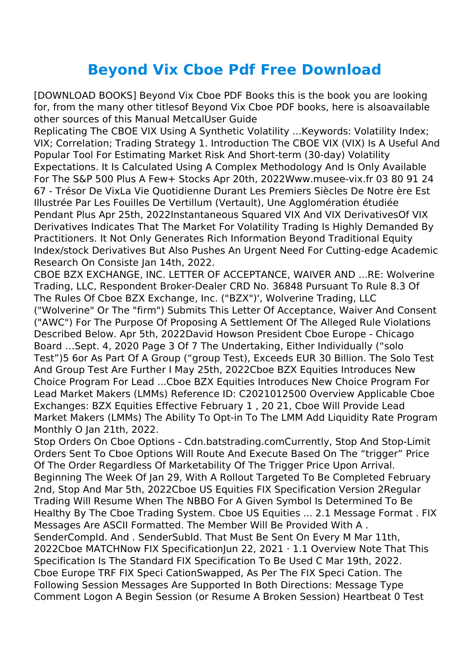## **Beyond Vix Cboe Pdf Free Download**

[DOWNLOAD BOOKS] Beyond Vix Cboe PDF Books this is the book you are looking for, from the many other titlesof Beyond Vix Cboe PDF books, here is alsoavailable other sources of this Manual MetcalUser Guide

Replicating The CBOE VIX Using A Synthetic Volatility ...Keywords: Volatility Index; VIX; Correlation; Trading Strategy 1. Introduction The CBOE VIX (VIX) Is A Useful And Popular Tool For Estimating Market Risk And Short-term (30-day) Volatility Expectations. It Is Calculated Using A Complex Methodology And Is Only Available For The S&P 500 Plus A Few+ Stocks Apr 20th, 2022Www.musee-vix.fr 03 80 91 24 67 - Trésor De VixLa Vie Quotidienne Durant Les Premiers Siècles De Notre ère Est Illustrée Par Les Fouilles De Vertillum (Vertault), Une Agglomération étudiée Pendant Plus Apr 25th, 2022Instantaneous Squared VIX And VIX DerivativesOf VIX Derivatives Indicates That The Market For Volatility Trading Is Highly Demanded By Practitioners. It Not Only Generates Rich Information Beyond Traditional Equity Index/stock Derivatives But Also Pushes An Urgent Need For Cutting-edge Academic Research On Consiste Jan 14th, 2022.

CBOE BZX EXCHANGE, INC. LETTER OF ACCEPTANCE, WAIVER AND ...RE: Wolverine Trading, LLC, Respondent Broker-Dealer CRD No. 36848 Pursuant To Rule 8.3 Of The Rules Of Cboe BZX Exchange, Inc. ("BZX")', Wolverine Trading, LLC

("Wolverine" Or The "firm") Submits This Letter Of Acceptance, Waiver And Consent ("AWC") For The Purpose Of Proposing A Settlement Of The Alleged Rule Violations Described Below. Apr 5th, 2022David Howson President Cboe Europe - Chicago Board …Sept. 4, 2020 Page 3 Of 7 The Undertaking, Either Individually ("solo Test")5 6or As Part Of A Group ("group Test), Exceeds EUR 30 Billion. The Solo Test And Group Test Are Further I May 25th, 2022Cboe BZX Equities Introduces New Choice Program For Lead ...Cboe BZX Equities Introduces New Choice Program For Lead Market Makers (LMMs) Reference ID: C2021012500 Overview Applicable Cboe Exchanges: BZX Equities Effective February 1 , 20 21, Cboe Will Provide Lead Market Makers (LMMs) The Ability To Opt-in To The LMM Add Liquidity Rate Program Monthly O Jan 21th, 2022.

Stop Orders On Cboe Options - Cdn.batstrading.comCurrently, Stop And Stop-Limit Orders Sent To Cboe Options Will Route And Execute Based On The "trigger" Price Of The Order Regardless Of Marketability Of The Trigger Price Upon Arrival. Beginning The Week Of Jan 29, With A Rollout Targeted To Be Completed February 2nd, Stop And Mar 5th, 2022Cboe US Equities FIX Specification Version 2Regular Trading Will Resume When The NBBO For A Given Symbol Is Determined To Be Healthy By The Cboe Trading System. Cboe US Equities ... 2.1 Message Format . FIX Messages Are ASCII Formatted. The Member Will Be Provided With A . SenderCompId. And . SenderSubId. That Must Be Sent On Every M Mar 11th, 2022Cboe MATCHNow FIX SpecificationJun 22, 2021 · 1.1 Overview Note That This Specification Is The Standard FIX Specification To Be Used C Mar 19th, 2022. Cboe Europe TRF FIX Speci CationSwapped, As Per The FIX Speci Cation. The Following Session Messages Are Supported In Both Directions: Message Type Comment Logon A Begin Session (or Resume A Broken Session) Heartbeat 0 Test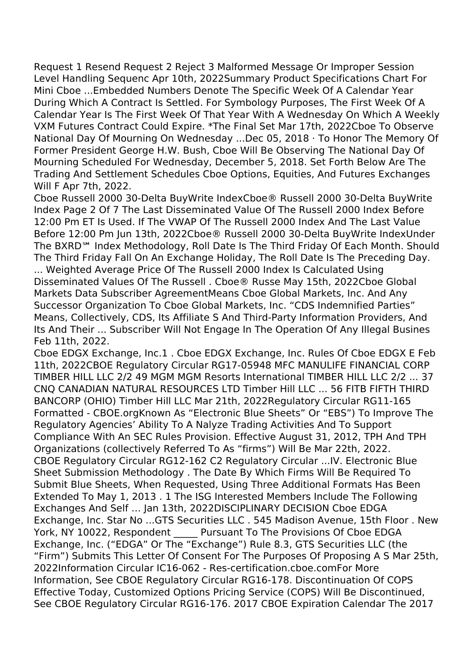Request 1 Resend Request 2 Reject 3 Malformed Message Or Improper Session Level Handling Sequenc Apr 10th, 2022Summary Product Specifications Chart For Mini Cboe ...Embedded Numbers Denote The Specific Week Of A Calendar Year During Which A Contract Is Settled. For Symbology Purposes, The First Week Of A Calendar Year Is The First Week Of That Year With A Wednesday On Which A Weekly VXM Futures Contract Could Expire. \*The Final Set Mar 17th, 2022Cboe To Observe National Day Of Mourning On Wednesday ...Dec 05, 2018 · To Honor The Memory Of Former President George H.W. Bush, Cboe Will Be Observing The National Day Of Mourning Scheduled For Wednesday, December 5, 2018. Set Forth Below Are The Trading And Settlement Schedules Cboe Options, Equities, And Futures Exchanges Will F Apr 7th, 2022.

Cboe Russell 2000 30-Delta BuyWrite IndexCboe® Russell 2000 30-Delta BuyWrite Index Page 2 Of 7 The Last Disseminated Value Of The Russell 2000 Index Before 12:00 Pm ET Is Used. If The VWAP Of The Russell 2000 Index And The Last Value Before 12:00 Pm Jun 13th, 2022Cboe® Russell 2000 30-Delta BuyWrite IndexUnder The BXRD℠ Index Methodology, Roll Date Is The Third Friday Of Each Month. Should The Third Friday Fall On An Exchange Holiday, The Roll Date Is The Preceding Day.

... Weighted Average Price Of The Russell 2000 Index Is Calculated Using Disseminated Values Of The Russell . Cboe® Russe May 15th, 2022Cboe Global Markets Data Subscriber AgreementMeans Cboe Global Markets, Inc. And Any Successor Organization To Cboe Global Markets, Inc. "CDS Indemnified Parties" Means, Collectively, CDS, Its Affiliate S And Third-Party Information Providers, And Its And Their ... Subscriber Will Not Engage In The Operation Of Any Illegal Busines Feb 11th, 2022.

Cboe EDGX Exchange, Inc.1 . Cboe EDGX Exchange, Inc. Rules Of Cboe EDGX E Feb 11th, 2022CBOE Regulatory Circular RG17-05948 MFC MANULIFE FINANCIAL CORP TIMBER HILL LLC 2/2 49 MGM MGM Resorts International TIMBER HILL LLC 2/2 ... 37 CNQ CANADIAN NATURAL RESOURCES LTD Timber Hill LLC ... 56 FITB FIFTH THIRD BANCORP (OHIO) Timber Hill LLC Mar 21th, 2022Regulatory Circular RG11-165 Formatted - CBOE.orgKnown As "Electronic Blue Sheets" Or "EBS") To Improve The Regulatory Agencies' Ability To A Nalyze Trading Activities And To Support Compliance With An SEC Rules Provision. Effective August 31, 2012, TPH And TPH Organizations (collectively Referred To As "firms") Will Be Mar 22th, 2022. CBOE Regulatory Circular RG12-162 C2 Regulatory Circular ...IV. Electronic Blue Sheet Submission Methodology . The Date By Which Firms Will Be Required To Submit Blue Sheets, When Requested, Using Three Additional Formats Has Been Extended To May 1, 2013 . 1 The ISG Interested Members Include The Following Exchanges And Self … Jan 13th, 2022DISCIPLINARY DECISION Cboe EDGA Exchange, Inc. Star No ...GTS Securities LLC . 545 Madison Avenue, 15th Floor . New York, NY 10022, Respondent Pursuant To The Provisions Of Cboe EDGA Exchange, Inc. ("EDGA" Or The "Exchange") Rule 8.3, GTS Securities LLC (the "Firm") Submits This Letter Of Consent For The Purposes Of Proposing A S Mar 25th, 2022Information Circular IC16-062 - Res-certification.cboe.comFor More Information, See CBOE Regulatory Circular RG16-178. Discontinuation Of COPS Effective Today, Customized Options Pricing Service (COPS) Will Be Discontinued, See CBOE Regulatory Circular RG16-176. 2017 CBOE Expiration Calendar The 2017